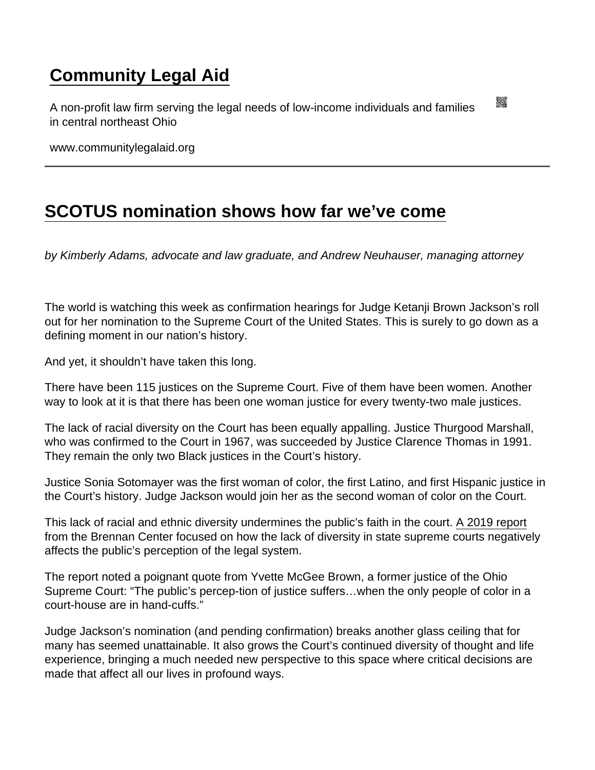## [Community Legal Aid](https://www.communitylegalaid.org/)

A non-profit law firm serving the legal needs of low-income individuals and families in central northeast Ohio

www.communitylegalaid.org

## [SCOTUS nomination shows how far we've come](https://www.communitylegalaid.org/node/1707/scotus-nomination-shows-how-far-we’ve-come)

by Kimberly Adams, advocate and law graduate, and Andrew Neuhauser, managing attorney

The world is watching this week as confirmation hearings for Judge Ketanji Brown Jackson's roll out for her nomination to the Supreme Court of the United States. This is surely to go down as a defining moment in our nation's history.

And yet, it shouldn't have taken this long.

There have been 115 justices on the Supreme Court. Five of them have been women. Another way to look at it is that there has been one woman justice for every twenty-two male justices.

The lack of racial diversity on the Court has been equally appalling. Justice Thurgood Marshall, who was confirmed to the Court in 1967, was succeeded by Justice Clarence Thomas in 1991. They remain the only two Black justices in the Court's history.

Justice Sonia Sotomayer was the first woman of color, the first Latino, and first Hispanic justice in the Court's history. Judge Jackson would join her as the second woman of color on the Court.

This lack of racial and ethnic diversity undermines the public's faith in the court. [A 2019 report](https://www.brennancenter.org/our-work/research-reports/state-supreme-court-diversity) from the Brennan Center focused on how the lack of diversity in state supreme courts negatively affects the public's perception of the legal system.

The report noted a poignant quote from Yvette McGee Brown, a former justice of the Ohio Supreme Court: "The public's percep-tion of justice suffers…when the only people of color in a court-house are in hand-cuffs."

Judge Jackson's nomination (and pending confirmation) breaks another glass ceiling that for many has seemed unattainable. It also grows the Court's continued diversity of thought and life experience, bringing a much needed new perspective to this space where critical decisions are made that affect all our lives in profound ways.